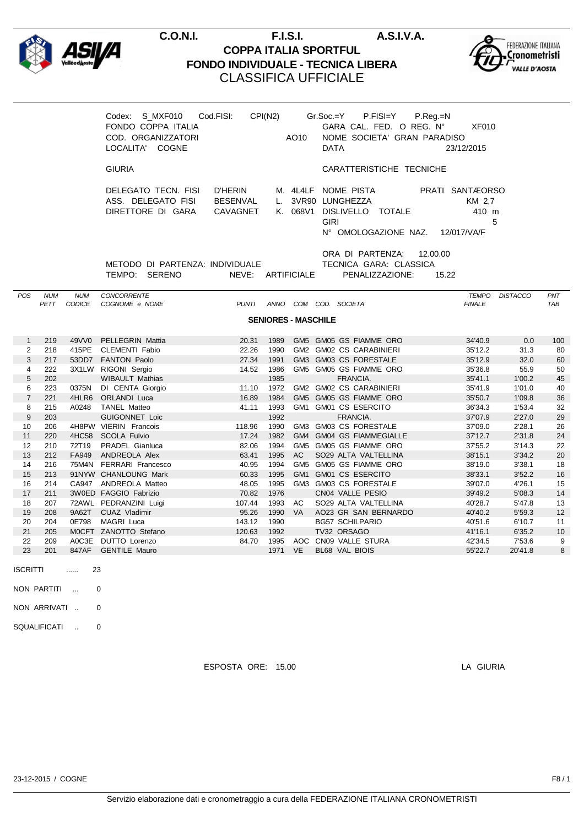



|                 |             |                           | Codex: S_MXF010<br>FONDO COPPA ITALIA<br>COD. ORGANIZZATORI<br>LOCALITA' COGNE | Cod.FISI:                              | CPI(N2)                    | AO10      | $Gr.Soc = Y$<br>P.FISI=Y P.Reg.=N<br>GARA CAL. FED. O REG. N°<br>NOME SOCIETA' GRAN PARADISO<br><b>DATA</b>    | <b>XF010</b><br>23/12/2015                        |                  |            |
|-----------------|-------------|---------------------------|--------------------------------------------------------------------------------|----------------------------------------|----------------------------|-----------|----------------------------------------------------------------------------------------------------------------|---------------------------------------------------|------------------|------------|
|                 |             |                           | <b>GIURIA</b>                                                                  |                                        |                            |           | CARATTERISTICHE TECNICHE                                                                                       |                                                   |                  |            |
|                 |             |                           | DELEGATO TECN. FISI<br>ASS. DELEGATO FISI<br>DIRETTORE DI GARA                 | D'HERIN<br><b>BESENVAL</b><br>CAVAGNET |                            |           | M. 4L4LF NOME PISTA<br>L. 3VR90 LUNGHEZZA<br>K. 068V1 DISLIVELLO TOTALE<br><b>GIRI</b><br>N° OMOLOGAZIONE NAZ. | PRATI SANTÆORSO<br>KM 2.7<br>410 m<br>12/017/VA/F | 5                |            |
|                 |             |                           | METODO DI PARTENZA: INDIVIDUALE<br>TEMPO: SERENO                               | NEVE: ARTIFICIALE                      |                            |           | ORA DI PARTENZA: 12.00.00<br>TECNICA GARA: CLASSICA<br>PENALIZZAZIONE:                                         | 15.22                                             |                  |            |
| POS             | <b>NUM</b>  | <b>NUM</b><br>PETT CODICE | <b>CONCORRENTE</b><br>COGNOME e NOME                                           | <b>PUNTI</b>                           |                            |           | ANNO COM COD. SOCIETA'                                                                                         | <b>FINALE</b>                                     | TEMPO DISTACCO   | PNT<br>TAB |
|                 |             |                           |                                                                                |                                        | <b>SENIORES - MASCHILE</b> |           |                                                                                                                |                                                   |                  |            |
| $\mathbf{1}$    | 219         |                           | 49VV0 PELLEGRIN Mattia                                                         | 20.31                                  | 1989                       |           | GM5 GM05 GS FIAMME ORO                                                                                         | 34'40.9                                           | 0.0              | 100        |
| $\overline{2}$  | 218         |                           | 415PE CLEMENTI Fabio                                                           | 22.26                                  | 1990                       |           | GM2 GM02 CS CARABINIERI                                                                                        | 35'12.2                                           | 31.3             | 80         |
| 3               | 217         |                           | 53DD7 FANTON Paolo                                                             | 27.34                                  | 1991                       |           | GM3 GM03 CS FORESTALE                                                                                          | 35'12.9                                           | 32.0             | 60         |
| $\overline{4}$  | 222         |                           | 3X1LW RIGONI Sergio                                                            |                                        | 14.52 1986                 |           | GM5 GM05 GS FIAMME ORO                                                                                         | 35'36.8                                           | 55.9             | 50         |
| 5               | 202         |                           | <b>WIBAULT Mathias</b>                                                         |                                        | 1985                       |           | FRANCIA.                                                                                                       | 35'41.1                                           | 1'00.2           | 45         |
| 6               | 223         |                           | 0375N DI CENTA Giorgio                                                         | 11.10                                  | 1972                       |           | GM2 GM02 CS CARABINIERI                                                                                        | 35'41.9                                           | 1'01.0           | 40         |
| $\overline{7}$  | 221         |                           | 4HLR6 ORLANDI Luca                                                             | 16.89                                  | 1984                       |           | GM5 GM05 GS FIAMME ORO                                                                                         | 35'50.7                                           | 1'09.8           | 36         |
| 8               | 215         |                           | A0248 TANEL Matteo                                                             | 41.11                                  | 1993                       |           | GM1 GM01 CS ESERCITO                                                                                           | 36'34.3                                           | 1'53.4           | 32         |
| 9               | 203         |                           | <b>GUIGONNET Loic</b>                                                          |                                        | 1992                       |           | FRANCIA.                                                                                                       | 37'07.9                                           | 2'27.0           | 29         |
| 10              | 206         |                           | 4H8PW VIERIN Francois                                                          | 118.96                                 | 1990                       |           | GM3 GM03 CS FORESTALE                                                                                          | 37'09.0                                           | 2'28.1           | 26         |
| 11              | 220         |                           | 4HC58 SCOLA Fulvio                                                             | 17.24                                  | 1982                       |           | GM4 GM04 GS FIAMMEGIALLE                                                                                       | 37'12.7                                           | 2'31.8           | 24         |
| 12              | 210         |                           | 72T19 PRADEL Gianluca                                                          | 82.06                                  | 1994                       |           | GM5 GM05 GS FIAMME ORO                                                                                         | 37'55.2                                           | 3'14.3           | 22         |
| 13              | 212         |                           | FA949 ANDREOLA Alex                                                            | 63.41                                  | 1995                       | AC        | SO29 ALTA VALTELLINA                                                                                           | 38'15.1                                           | 3'34.2           | 20         |
| 14              | 216         |                           | 75M4N FERRARI Francesco                                                        | 40.95                                  | 1994                       |           | GM5 GM05 GS FIAMME ORO                                                                                         | 38'19.0                                           | 3'38.1           | 18         |
| 15              | 213         |                           | 91NYW CHANLOUNG Mark                                                           | 60.33                                  | 1995                       |           | GM1 GM01 CS ESERCITO                                                                                           | 38'33.1                                           | 3'52.2           | 16         |
| 16              | 214         |                           | CA947 ANDREOLA Matteo                                                          | 48.05                                  | 1995                       |           | GM3 GM03 CS FORESTALE                                                                                          | 39'07.0                                           | 4'26.1           | 15         |
| 17              | 211         |                           | 3W0ED FAGGIO Fabrizio                                                          | 70.82                                  | 1976                       |           | CN04 VALLE PESIO                                                                                               | 39'49.2                                           | 5'08.3           | 14         |
| 18              | 207         |                           | 72AWL PEDRANZINI Luigi                                                         | 107.44                                 |                            | 1993 AC   | SO29 ALTA VALTELLINA                                                                                           | 40'28.7                                           | 5'47.8           | 13         |
| 19              | 208         |                           | 9A62T CUAZ Vladimir                                                            | 95.26                                  | 1990                       | <b>VA</b> | AO23 GR SAN BERNARDO                                                                                           | 40'40.2                                           | 5'59.3           | 12         |
| 20              | 204         |                           | 0E798 MAGRI Luca                                                               | 143.12                                 | 1990                       |           | <b>BG57 SCHILPARIO</b>                                                                                         | 40'51.6                                           | 6'10.7           | 11         |
| 21<br>22        | 205<br>209  |                           | MOCFT ZANOTTO Stefano<br>A0C3E DUTTO Lorenzo                                   | 120.63<br>84.70                        | 1992                       |           | TV32 ORSAGO<br>1995 AOC CN09 VALLE STURA                                                                       | 41'16.1<br>42'34.5                                | 6'35.2<br>7'53.6 | 10<br>9    |
| 23              | 201         |                           | 847AF GENTILE Mauro                                                            |                                        | 1971 VE                    |           | BL68 VAL BIOIS                                                                                                 | 55'22.7                                           | 20'41.8          | 8          |
| <b>ISCRITTI</b> |             | 23<br>$\ldots$            |                                                                                |                                        |                            |           |                                                                                                                |                                                   |                  |            |
|                 | NON PARTITI |                           | 0                                                                              |                                        |                            |           |                                                                                                                |                                                   |                  |            |
|                 |             | <b>Contractor</b>         |                                                                                |                                        |                            |           |                                                                                                                |                                                   |                  |            |

NON ARRIVATI .. 0

SQUALIFICATI .. 0

ESPOSTA ORE: 15.00 LA GIURIA

23-12-2015 / COGNE F8 / 1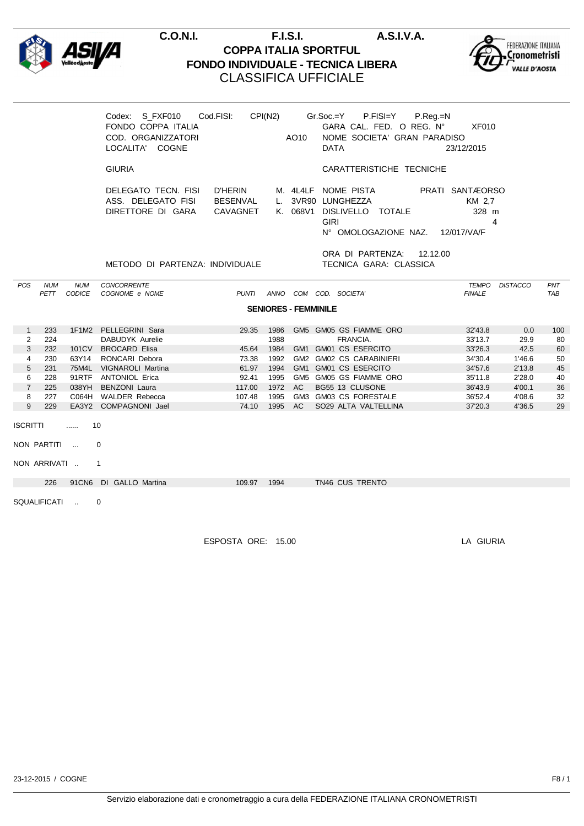



|                             |              |                           | FONDO COPPA ITALIA<br>COD. ORGANIZZATORI<br>LOCALITA' COGNE    |                                 |      | AO10 | Codex: S_FXF010 Cod.FISI: CPI(N2) Gr.Soc.=Y P.FISI=Y P.Reg.=N<br>GARA CAL. FED. O REG. Nº XF010<br>NOME SOCIETA' GRAN PARADISO<br>DATA     | 23/12/2015           |                |            |  |
|-----------------------------|--------------|---------------------------|----------------------------------------------------------------|---------------------------------|------|------|--------------------------------------------------------------------------------------------------------------------------------------------|----------------------|----------------|------------|--|
|                             |              |                           | <b>GIURIA</b>                                                  |                                 |      |      | CARATTERISTICHE TECNICHE                                                                                                                   |                      |                |            |  |
|                             |              |                           | DELEGATO TECN. FISI<br>ASS. DELEGATO FISI<br>DIRETTORE DI GARA | D'HERIN<br>BESENVAL<br>CAVAGNET |      |      | M. 4L4LF NOME PISTA PRATI SANTÆORSO<br>L. 3VR90 LUNGHEZZA<br>K. 068V1 DISLIVELLO TOTALE<br><b>GIRI</b><br>N° OMOLOGAZIONE NAZ. 12/017/VA/F | KM 2.7<br>328 m<br>4 |                |            |  |
|                             |              |                           | METODO DI PARTENZA: INDIVIDUALE                                |                                 |      |      | ORA DI PARTENZA: 12.12.00<br>TECNICA GARA: CLASSICA                                                                                        |                      |                |            |  |
| POS                         | <b>NUM</b>   | <b>NUM</b><br>PETT CODICE | CONCORRENTE<br>COGNOME e NOME                                  |                                 |      |      | PUNTI ANNO COM COD. SOCIETA'                                                                                                               | <b>FINALE</b>        | TEMPO DISTACCO | PNT<br>TAB |  |
| <b>SENIORES - FEMMINILE</b> |              |                           |                                                                |                                 |      |      |                                                                                                                                            |                      |                |            |  |
| 1                           | 233          |                           | 1F1M2 PELLEGRINI Sara                                          |                                 |      |      | 29.35 1986 GM5 GM05 GS FIAMME ORO                                                                                                          | 32'43.8              | 0.0            | 100        |  |
| $\overline{2}$              | 224          |                           | DABUDYK Aurelie                                                |                                 | 1988 |      | FRANCIA.                                                                                                                                   | 33'13.7              | 29.9           | 80         |  |
| 3                           | 232          |                           | 101CV BROCARD Elisa                                            | 45.64                           | 1984 |      | GM1 GM01 CS ESERCITO                                                                                                                       | 33'26.3              | 42.5           | 60         |  |
| $\overline{4}$              | 230          | 63Y14                     | RONCARI Debora                                                 | 73.38                           | 1992 |      | GM2 GM02 CS CARABINIERI                                                                                                                    | 34'30.4              | 1'46.6         | 50         |  |
| 5                           | 231          |                           | 75M4L VIGNAROLI Martina                                        | 61.97                           |      |      | 1994 GM1 GM01 CS ESERCITO                                                                                                                  | 34'57.6              | 2'13.8         | 45         |  |
| 6                           | 228          |                           | 91RTF ANTONIOL Erica                                           | 92.41                           | 1995 |      | GM5 GM05 GS FIAMME ORO                                                                                                                     | 35'11.8              | 2'28.0         | 40         |  |
| $\overline{7}$              | 225          |                           | 038YH BENZONI Laura                                            | 117.00                          |      |      | 1972 AC BG55 13 CLUSONE                                                                                                                    | 36'43.9              | 4'00.1         | 36         |  |
| 8                           | 227          |                           | C064H WALDER Rebecca                                           | 107.48                          | 1995 |      | GM3 GM03 CS FORESTALE                                                                                                                      | 36'52.4              | 4'08.6         | 32         |  |
| 9 <sup>1</sup>              | 229          |                           | EA3Y2 COMPAGNONI Jael                                          | 74.10                           |      |      | 1995 AC SO29 ALTA VALTELLINA                                                                                                               | 37'20.3              | 4'36.5         | 29         |  |
| ISCRITTI<br>10<br>$\cdots$  |              |                           |                                                                |                                 |      |      |                                                                                                                                            |                      |                |            |  |
|                             | NON PARTITI  |                           | $\Omega$                                                       |                                 |      |      |                                                                                                                                            |                      |                |            |  |
|                             | NON ARRIVATI |                           | $\mathbf{1}$                                                   |                                 |      |      |                                                                                                                                            |                      |                |            |  |
|                             |              |                           | 226 91CN6 DI GALLO Martina                                     | 109.97  1994                    |      |      | TN46 CUS TRENTO                                                                                                                            |                      |                |            |  |
|                             | SQUALIFICATI |                           | 0                                                              |                                 |      |      |                                                                                                                                            |                      |                |            |  |

ESPOSTA ORE: 15.00 LA GIURIA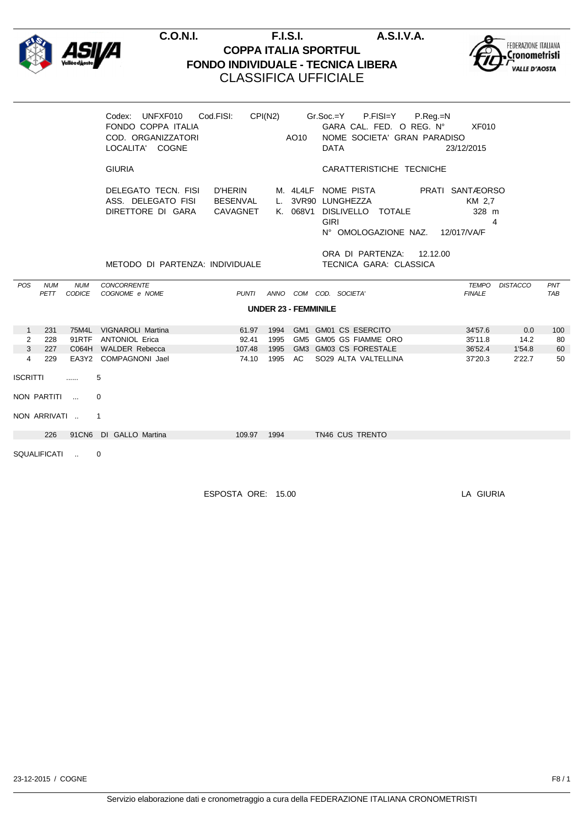



|                             |                     |                             | UNFXF010<br>Codex:<br>FONDO COPPA ITALIA<br>COD. ORGANIZZATORI<br>LOCALITA' COGNE | Cod.FISI:                       | CPI(N2) | AO10 | Gr.Soc.=Y P.FISI=Y P.Reg.=N<br>GARA CAL. FED. O REG. Nº XF010<br>NOME SOCIETA' GRAN PARADISO<br><b>DATA</b><br>23/12/2015                                             |                   |  |  |
|-----------------------------|---------------------|-----------------------------|-----------------------------------------------------------------------------------|---------------------------------|---------|------|-----------------------------------------------------------------------------------------------------------------------------------------------------------------------|-------------------|--|--|
|                             |                     |                             | <b>GIURIA</b>                                                                     |                                 |         |      | CARATTERISTICHE TECNICHE                                                                                                                                              |                   |  |  |
|                             |                     |                             | DELEGATO TECN. FISI<br>ASS. DELEGATO FISI<br>DIRETTORE DI GARA                    | D'HERIN<br>BESENVAL<br>CAVAGNET |         |      | M. 4L4LF NOME PISTA<br>PRATI SANTÆORSO<br>L. 3VR90 LUNGHEZZA<br>KM 2.7<br>K. 068V1 DISLIVELLO TOTALE<br>328 m<br><b>GIRI</b><br>4<br>N° OMOLOGAZIONE NAZ. 12/017/VA/F |                   |  |  |
|                             |                     |                             | METODO DI PARTENZA: INDIVIDUALE                                                   |                                 |         |      | ORA DI PARTENZA: 12.12.00<br>TECNICA GARA: CLASSICA                                                                                                                   |                   |  |  |
| <b>POS</b>                  | <b>NUM</b><br>PETT  | <b>NUM</b><br><b>CODICE</b> | <b>CONCORRENTE</b><br>COGNOME e NOME                                              | <b>PUNTI</b>                    | ANNO    |      | <b>TEMPO</b><br><b>DISTACCO</b><br>COM COD. SOCIETA'<br><b>FINALE</b>                                                                                                 | PNT<br><b>TAB</b> |  |  |
| <b>UNDER 23 - FEMMINILE</b> |                     |                             |                                                                                   |                                 |         |      |                                                                                                                                                                       |                   |  |  |
| $\mathbf{1}$                | 231                 |                             | 75M4L VIGNAROLI Martina                                                           | 61.97                           | 1994    |      | GM1 GM01 CS ESERCITO<br>34'57.6<br>0.0                                                                                                                                | 100               |  |  |
| $\overline{2}$              | 228                 |                             | 91RTF ANTONIOL Erica                                                              | 92.41                           | 1995    |      | GM5 GM05 GS FIAMME ORO<br>35'11.8<br>14.2                                                                                                                             | 80                |  |  |
| $\mathbf{3}$                | 227                 |                             | C064H WALDER Rebecca                                                              | 107.48                          | 1995    |      | GM3 GM03 CS FORESTALE<br>1'54.8<br>36'52.4                                                                                                                            | 60                |  |  |
| $\overline{4}$              | 229                 |                             | EA3Y2 COMPAGNONI Jael                                                             | 74.10                           | 1995 AC |      | SO29 ALTA VALTELLINA<br>2'22.7<br>37'20.3                                                                                                                             | 50                |  |  |
| <b>ISCRITTI</b><br>5<br>    |                     |                             |                                                                                   |                                 |         |      |                                                                                                                                                                       |                   |  |  |
|                             | NON PARTITI         |                             | $\Omega$                                                                          |                                 |         |      |                                                                                                                                                                       |                   |  |  |
|                             | NON ARRIVATI        |                             | $\overline{1}$                                                                    |                                 |         |      |                                                                                                                                                                       |                   |  |  |
|                             | 226                 |                             | 91CN6 DI GALLO Martina                                                            | 109.97                          | 1994    |      | TN46 CUS TRENTO                                                                                                                                                       |                   |  |  |
|                             | <b>SQUALIFICATI</b> | $\sim$                      | 0                                                                                 |                                 |         |      |                                                                                                                                                                       |                   |  |  |

ESPOSTA ORE: 15.00 LA GIURIA